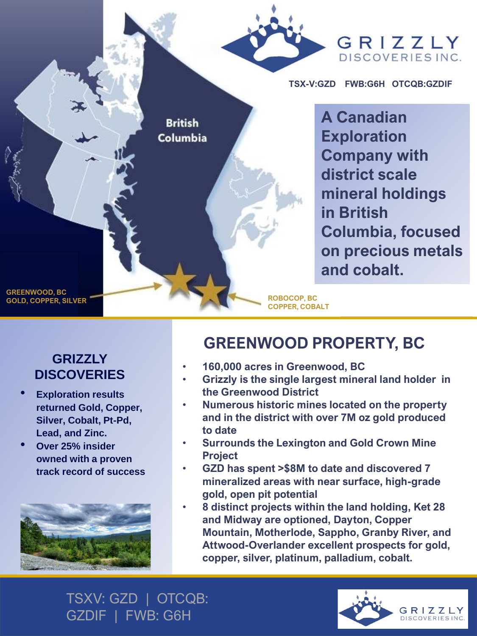

## **GRIZZLY DISCOVERIES**

- **Exploration results returned Gold, Copper, Silver, Cobalt, Pt-Pd, Lead, and Zinc.**
- **Over 25% insider owned with a proven track record of success**



## **GREENWOOD PROPERTY, BC**

- **160,000 acres in Greenwood, BC**
- **Grizzly is the single largest mineral land holder in the Greenwood District**
- **Numerous historic mines located on the property and in the district with over 7M oz gold produced to date**
- **Surrounds the Lexington and Gold Crown Mine Project**
- **GZD has spent >\$8M to date and discovered 7 mineralized areas with near surface, high-grade gold, open pit potential**
- **8 distinct projects within the land holding, Ket 28 and Midway are optioned, Dayton, Copper Mountain, Motherlode, Sappho, Granby River, and Attwood-Overlander excellent prospects for gold, copper, silver, platinum, palladium, cobalt.**

TSXV: GZD | OTCQB: GZDIF | FWB: G6H